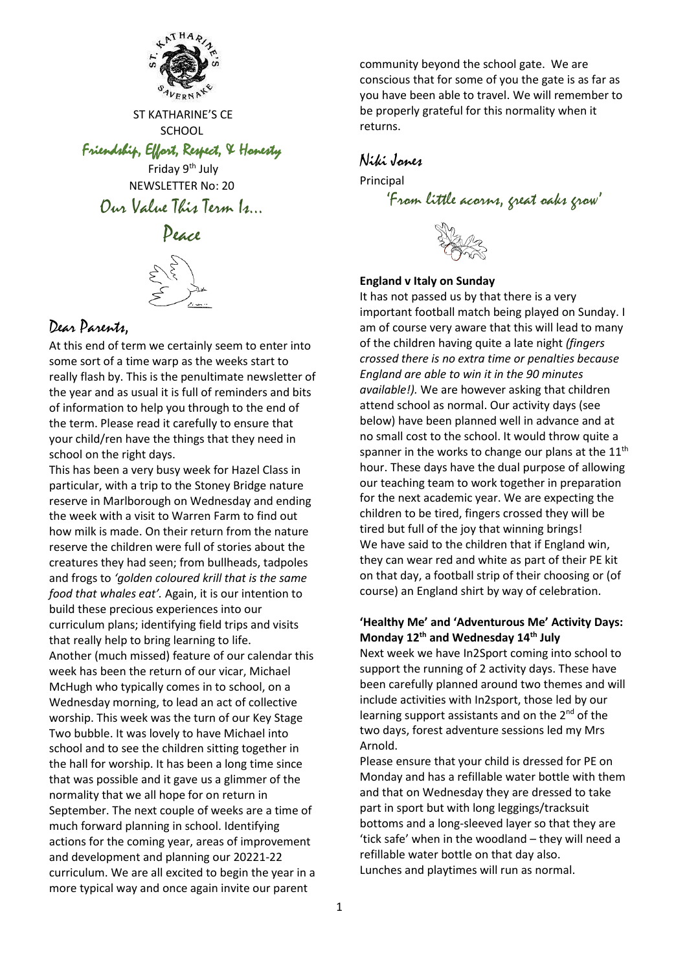

ST KATHARINE'S CE **SCHOOL** 

Friendship, Effort, Respect, & Honesty

Friday 9<sup>th</sup> July NEWSLETTER No: 20 Our Value This Term Is…





## Dear Parents,

At this end of term we certainly seem to enter into some sort of a time warp as the weeks start to really flash by. This is the penultimate newsletter of the year and as usual it is full of reminders and bits of information to help you through to the end of the term. Please read it carefully to ensure that your child/ren have the things that they need in school on the right days.

This has been a very busy week for Hazel Class in particular, with a trip to the Stoney Bridge nature reserve in Marlborough on Wednesday and ending the week with a visit to Warren Farm to find out how milk is made. On their return from the nature reserve the children were full of stories about the creatures they had seen; from bullheads, tadpoles and frogs to *'golden coloured krill that is the same food that whales eat'.* Again, it is our intention to build these precious experiences into our curriculum plans; identifying field trips and visits that really help to bring learning to life. Another (much missed) feature of our calendar this week has been the return of our vicar, Michael McHugh who typically comes in to school, on a Wednesday morning, to lead an act of collective worship. This week was the turn of our Key Stage Two bubble. It was lovely to have Michael into school and to see the children sitting together in the hall for worship. It has been a long time since that was possible and it gave us a glimmer of the normality that we all hope for on return in September. The next couple of weeks are a time of much forward planning in school. Identifying actions for the coming year, areas of improvement and development and planning our 20221-22 curriculum. We are all excited to begin the year in a more typical way and once again invite our parent

community beyond the school gate. We are conscious that for some of you the gate is as far as you have been able to travel. We will remember to be properly grateful for this normality when it returns.

## Niki Jones

Principal 'From little acorns, great oaks grow'

## **England v Italy on Sunday**

It has not passed us by that there is a very important football match being played on Sunday. I am of course very aware that this will lead to many of the children having quite a late night *(fingers crossed there is no extra time or penalties because England are able to win it in the 90 minutes available!).* We are however asking that children attend school as normal. Our activity days (see below) have been planned well in advance and at no small cost to the school. It would throw quite a spanner in the works to change our plans at the 11<sup>th</sup> hour. These days have the dual purpose of allowing our teaching team to work together in preparation for the next academic year. We are expecting the children to be tired, fingers crossed they will be tired but full of the joy that winning brings! We have said to the children that if England win, they can wear red and white as part of their PE kit on that day, a football strip of their choosing or (of course) an England shirt by way of celebration.

## **'Healthy Me' and 'Adventurous Me' Activity Days: Monday 12th and Wednesday 14th July**

Next week we have In2Sport coming into school to support the running of 2 activity days. These have been carefully planned around two themes and will include activities with In2sport, those led by our learning support assistants and on the 2<sup>nd</sup> of the two days, forest adventure sessions led my Mrs Arnold.

Please ensure that your child is dressed for PE on Monday and has a refillable water bottle with them and that on Wednesday they are dressed to take part in sport but with long leggings/tracksuit bottoms and a long-sleeved layer so that they are 'tick safe' when in the woodland – they will need a refillable water bottle on that day also. Lunches and playtimes will run as normal.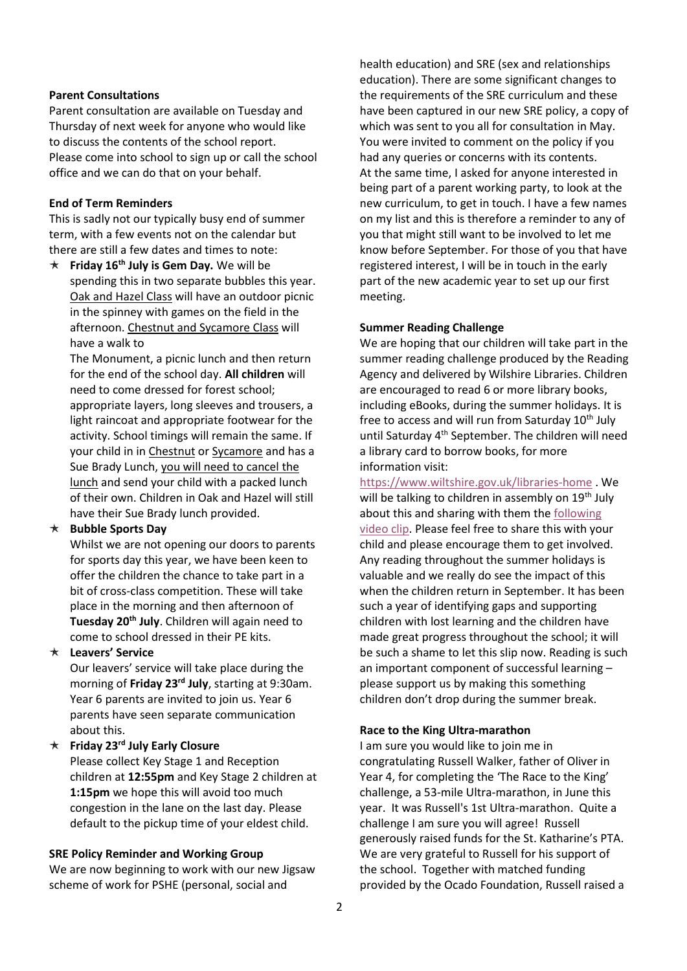#### **Parent Consultations**

Parent consultation are available on Tuesday and Thursday of next week for anyone who would like to discuss the contents of the school report. Please come into school to sign up or call the school office and we can do that on your behalf.

#### **End of Term Reminders**

This is sadly not our typically busy end of summer term, with a few events not on the calendar but there are still a few dates and times to note:

 $\star$  **Friday 16<sup>th</sup> July is Gem Day.** We will be spending this in two separate bubbles this year. Oak and Hazel Class will have an outdoor picnic in the spinney with games on the field in the afternoon. Chestnut and Sycamore Class will have a walk to

The Monument, a picnic lunch and then return for the end of the school day. **All children** will need to come dressed for forest school; appropriate layers, long sleeves and trousers, a light raincoat and appropriate footwear for the activity. School timings will remain the same. If your child in in Chestnut or Sycamore and has a Sue Brady Lunch, you will need to cancel the lunch and send your child with a packed lunch of their own. Children in Oak and Hazel will still have their Sue Brady lunch provided.

#### **Bubble Sports Day**

Whilst we are not opening our doors to parents for sports day this year, we have been keen to offer the children the chance to take part in a bit of cross-class competition. These will take place in the morning and then afternoon of **Tuesday 20th July**. Children will again need to come to school dressed in their PE kits.

### **Leavers' Service**

Our leavers' service will take place during the morning of **Friday 23rd July**, starting at 9:30am. Year 6 parents are invited to join us. Year 6 parents have seen separate communication about this.

#### **Friday 23rd July Early Closure**

Please collect Key Stage 1 and Reception children at **12:55pm** and Key Stage 2 children at **1:15pm** we hope this will avoid too much congestion in the lane on the last day. Please default to the pickup time of your eldest child.

#### **SRE Policy Reminder and Working Group**

We are now beginning to work with our new Jigsaw scheme of work for PSHE (personal, social and

health education) and SRE (sex and relationships education). There are some significant changes to the requirements of the SRE curriculum and these have been captured in our new SRE policy, a copy of which was sent to you all for consultation in May. You were invited to comment on the policy if you had any queries or concerns with its contents. At the same time, I asked for anyone interested in being part of a parent working party, to look at the new curriculum, to get in touch. I have a few names on my list and this is therefore a reminder to any of you that might still want to be involved to let me know before September. For those of you that have registered interest, I will be in touch in the early part of the new academic year to set up our first meeting.

#### **Summer Reading Challenge**

We are hoping that our children will take part in the summer reading challenge produced by the Reading Agency and delivered by Wilshire Libraries. Children are encouraged to read 6 or more library books, including eBooks, during the summer holidays. It is free to access and will run from Saturday  $10<sup>th</sup>$  July until Saturday 4<sup>th</sup> September. The children will need a library card to borrow books, for more information visit:

<https://www.wiltshire.gov.uk/libraries-home> . We will be talking to children in assembly on 19<sup>th</sup> July about this and sharing with them the [following](https://www.youtube.com/watch?v=CFX1i7vMfOc)  [video clip.](https://www.youtube.com/watch?v=CFX1i7vMfOc) Please feel free to share this with your child and please encourage them to get involved. Any reading throughout the summer holidays is valuable and we really do see the impact of this when the children return in September. It has been such a year of identifying gaps and supporting children with lost learning and the children have made great progress throughout the school; it will be such a shame to let this slip now. Reading is such an important component of successful learning – please support us by making this something children don't drop during the summer break.

#### **Race to the King Ultra-marathon**

I am sure you would like to join me in congratulating Russell Walker, father of Oliver in Year 4, for completing the 'The Race to the King' challenge, a 53-mile Ultra-marathon, in June this year. It was Russell's 1st Ultra-marathon. Quite a challenge I am sure you will agree! Russell generously raised funds for the St. Katharine's PTA. We are very grateful to Russell for his support of the school. Together with matched funding provided by the Ocado Foundation, Russell raised a